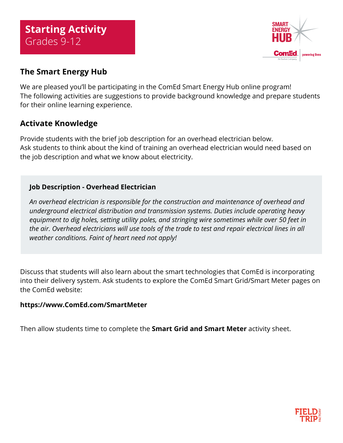

# **The Smart Energy Hub**

We are pleased you'll be participating in the ComEd Smart Energy Hub online program! The following activities are suggestions to provide background knowledge and prepare students for their online learning experience.

# **Activate Knowledge**

Provide students with the brief job description for an overhead electrician below. Ask students to think about the kind of training an overhead electrician would need based on the job description and what we know about electricity.

## **Job Description - Overhead Electrician**

*An overhead electrician is responsible for the construction and maintenance of overhead and underground electrical distribution and transmission systems. Duties include operating heavy equipment to dig holes, setting utility poles, and stringing wire sometimes while over 50 feet in the air. Overhead electricians will use tools of the trade to test and repair electrical lines in all weather conditions. Faint of heart need not apply!* 

Discuss that students will also learn about the smart technologies that ComEd is incorporating into their delivery system. Ask students to explore the ComEd Smart Grid/Smart Meter pages on the ComEd website:

## **[https://www.ComEd.com/SmartMeter](https://www.comed.com/SmartMeter
)**

Then allow students time to complete the **Smart Grid and Smart Meter** activity sheet.

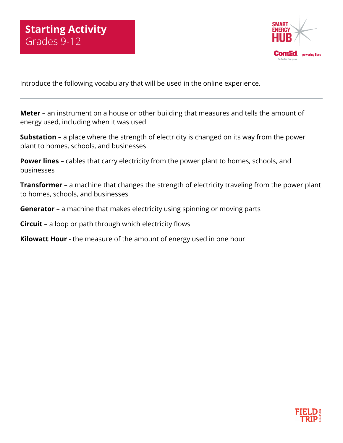

Introduce the following vocabulary that will be used in the online experience.

**Meter** – an instrument on a house or other building that measures and tells the amount of energy used, including when it was used

**Substation** – a place where the strength of electricity is changed on its way from the power plant to homes, schools, and businesses

**Power lines** – cables that carry electricity from the power plant to homes, schools, and businesses

**Transformer** – a machine that changes the strength of electricity traveling from the power plant to homes, schools, and businesses

**Generator** – a machine that makes electricity using spinning or moving parts

**Circuit** – a loop or path through which electricity flows

**Kilowatt Hour** - the measure of the amount of energy used in one hour